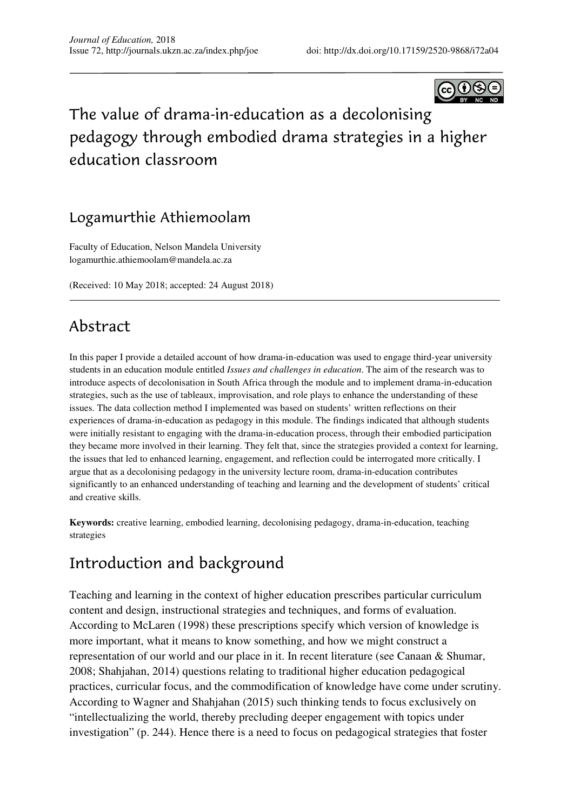

# The value of drama-in-education as a decolonising pedagogy through embodied drama strategies in a higher education classroom

## Logamurthie Athiemoolam

Faculty of Education, Nelson Mandela University logamurthie.athiemoolam@mandela.ac.za

(Received: 10 May 2018; accepted: 24 August 2018)

## Abstract

In this paper I provide a detailed account of how drama-in-education was used to engage third-year university students in an education module entitled *Issues and challenges in education*. The aim of the research was to introduce aspects of decolonisation in South Africa through the module and to implement drama-in-education strategies, such as the use of tableaux, improvisation, and role plays to enhance the understanding of these issues. The data collection method I implemented was based on students' written reflections on their experiences of drama-in-education as pedagogy in this module. The findings indicated that although students were initially resistant to engaging with the drama-in-education process, through their embodied participation they became more involved in their learning. They felt that, since the strategies provided a context for learning, the issues that led to enhanced learning, engagement, and reflection could be interrogated more critically. I argue that as a decolonising pedagogy in the university lecture room, drama-in-education contributes significantly to an enhanced understanding of teaching and learning and the development of students' critical and creative skills.

**Keywords:** creative learning, embodied learning, decolonising pedagogy, drama-in-education, teaching strategies

## Introduction and background

Teaching and learning in the context of higher education prescribes particular curriculum content and design, instructional strategies and techniques, and forms of evaluation. According to McLaren (1998) these prescriptions specify which version of knowledge is more important, what it means to know something, and how we might construct a representation of our world and our place in it. In recent literature (see Canaan & Shumar, 2008; Shahjahan, 2014) questions relating to traditional higher education pedagogical practices, curricular focus, and the commodification of knowledge have come under scrutiny. According to Wagner and Shahjahan (2015) such thinking tends to focus exclusively on "intellectualizing the world, thereby precluding deeper engagement with topics under investigation" (p. 244). Hence there is a need to focus on pedagogical strategies that foster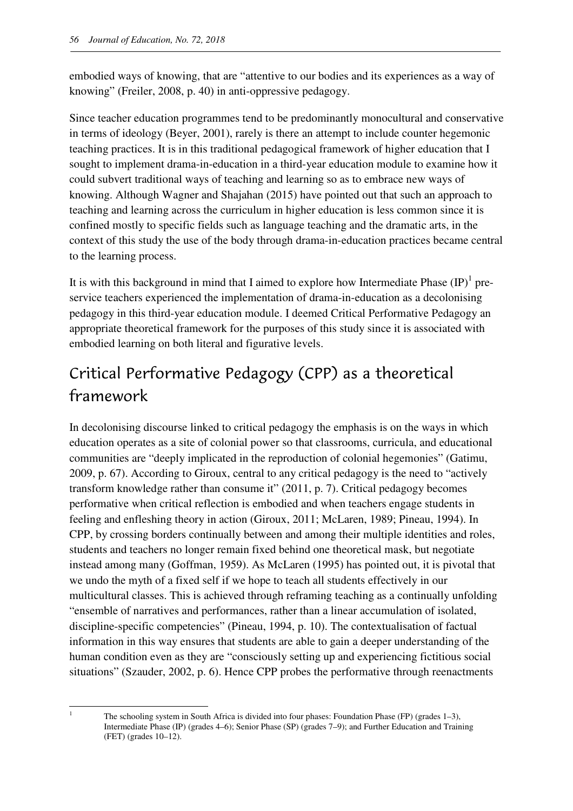embodied ways of knowing, that are "attentive to our bodies and its experiences as a way of knowing" (Freiler, 2008, p. 40) in anti-oppressive pedagogy.

Since teacher education programmes tend to be predominantly monocultural and conservative in terms of ideology (Beyer, 2001), rarely is there an attempt to include counter hegemonic teaching practices. It is in this traditional pedagogical framework of higher education that I sought to implement drama-in-education in a third-year education module to examine how it could subvert traditional ways of teaching and learning so as to embrace new ways of knowing. Although Wagner and Shajahan (2015) have pointed out that such an approach to teaching and learning across the curriculum in higher education is less common since it is confined mostly to specific fields such as language teaching and the dramatic arts, in the context of this study the use of the body through drama-in-education practices became central to the learning process.

It is with this background in mind that I aimed to explore how Intermediate Phase  ${\rm (IP)}^1$  preservice teachers experienced the implementation of drama-in-education as a decolonising pedagogy in this third-year education module. I deemed Critical Performative Pedagogy an appropriate theoretical framework for the purposes of this study since it is associated with embodied learning on both literal and figurative levels.

# Critical Performative Pedagogy (CPP) as a theoretical framework

In decolonising discourse linked to critical pedagogy the emphasis is on the ways in which education operates as a site of colonial power so that classrooms, curricula, and educational communities are "deeply implicated in the reproduction of colonial hegemonies" (Gatimu, 2009, p. 67). According to Giroux, central to any critical pedagogy is the need to "actively transform knowledge rather than consume it" (2011, p. 7). Critical pedagogy becomes performative when critical reflection is embodied and when teachers engage students in feeling and enfleshing theory in action (Giroux, 2011; McLaren, 1989; Pineau, 1994). In CPP, by crossing borders continually between and among their multiple identities and roles, students and teachers no longer remain fixed behind one theoretical mask, but negotiate instead among many (Goffman, 1959). As McLaren (1995) has pointed out, it is pivotal that we undo the myth of a fixed self if we hope to teach all students effectively in our multicultural classes. This is achieved through reframing teaching as a continually unfolding "ensemble of narratives and performances, rather than a linear accumulation of isolated, discipline-specific competencies" (Pineau, 1994, p. 10). The contextualisation of factual information in this way ensures that students are able to gain a deeper understanding of the human condition even as they are "consciously setting up and experiencing fictitious social situations" (Szauder, 2002, p. 6). Hence CPP probes the performative through reenactments

l 1

The schooling system in South Africa is divided into four phases: Foundation Phase (FP) (grades 1–3), Intermediate Phase (IP) (grades 4–6); Senior Phase (SP) (grades 7–9); and Further Education and Training (FET) (grades 10–12).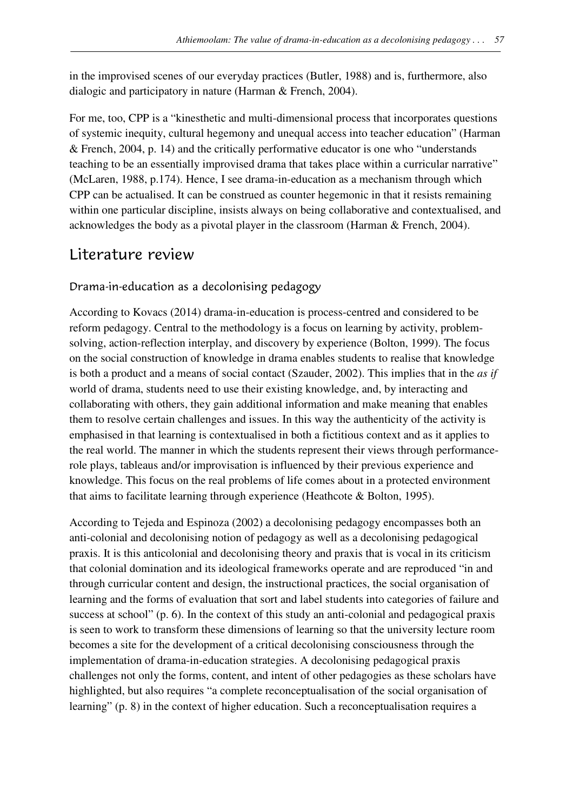in the improvised scenes of our everyday practices (Butler, 1988) and is, furthermore, also dialogic and participatory in nature (Harman & French, 2004).

For me, too, CPP is a "kinesthetic and multi-dimensional process that incorporates questions of systemic inequity, cultural hegemony and unequal access into teacher education" (Harman & French, 2004, p. 14) and the critically performative educator is one who "understands teaching to be an essentially improvised drama that takes place within a curricular narrative" (McLaren, 1988, p.174). Hence, I see drama-in-education as a mechanism through which CPP can be actualised. It can be construed as counter hegemonic in that it resists remaining within one particular discipline, insists always on being collaborative and contextualised, and acknowledges the body as a pivotal player in the classroom (Harman & French, 2004).

## Literature review

### Drama-in-education as a decolonising pedagogy

According to Kovacs (2014) drama-in-education is process-centred and considered to be reform pedagogy. Central to the methodology is a focus on learning by activity, problemsolving, action-reflection interplay, and discovery by experience (Bolton, 1999). The focus on the social construction of knowledge in drama enables students to realise that knowledge is both a product and a means of social contact (Szauder, 2002). This implies that in the *as if* world of drama, students need to use their existing knowledge, and, by interacting and collaborating with others, they gain additional information and make meaning that enables them to resolve certain challenges and issues. In this way the authenticity of the activity is emphasised in that learning is contextualised in both a fictitious context and as it applies to the real world. The manner in which the students represent their views through performancerole plays, tableaus and/or improvisation is influenced by their previous experience and knowledge. This focus on the real problems of life comes about in a protected environment that aims to facilitate learning through experience (Heathcote & Bolton, 1995).

According to Tejeda and Espinoza (2002) a decolonising pedagogy encompasses both an anti-colonial and decolonising notion of pedagogy as well as a decolonising pedagogical praxis. It is this anticolonial and decolonising theory and praxis that is vocal in its criticism that colonial domination and its ideological frameworks operate and are reproduced "in and through curricular content and design, the instructional practices, the social organisation of learning and the forms of evaluation that sort and label students into categories of failure and success at school" (p. 6). In the context of this study an anti-colonial and pedagogical praxis is seen to work to transform these dimensions of learning so that the university lecture room becomes a site for the development of a critical decolonising consciousness through the implementation of drama-in-education strategies. A decolonising pedagogical praxis challenges not only the forms, content, and intent of other pedagogies as these scholars have highlighted, but also requires "a complete reconceptualisation of the social organisation of learning" (p. 8) in the context of higher education. Such a reconceptualisation requires a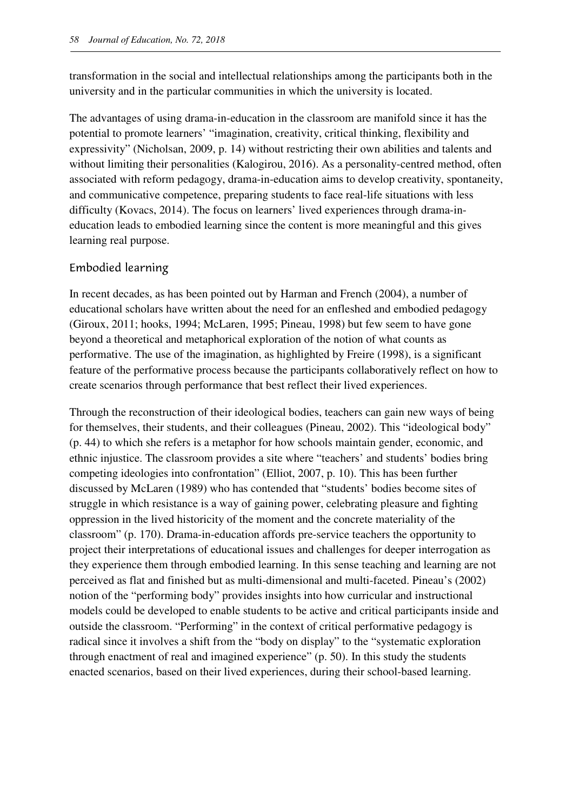transformation in the social and intellectual relationships among the participants both in the university and in the particular communities in which the university is located.

The advantages of using drama-in-education in the classroom are manifold since it has the potential to promote learners' "imagination, creativity, critical thinking, flexibility and expressivity" (Nicholsan, 2009, p. 14) without restricting their own abilities and talents and without limiting their personalities (Kalogirou, 2016). As a personality-centred method, often associated with reform pedagogy, drama-in-education aims to develop creativity, spontaneity, and communicative competence, preparing students to face real-life situations with less difficulty (Kovacs, 2014). The focus on learners' lived experiences through drama-ineducation leads to embodied learning since the content is more meaningful and this gives learning real purpose.

#### Embodied learning

In recent decades, as has been pointed out by Harman and French (2004), a number of educational scholars have written about the need for an enfleshed and embodied pedagogy (Giroux, 2011; hooks, 1994; McLaren, 1995; Pineau, 1998) but few seem to have gone beyond a theoretical and metaphorical exploration of the notion of what counts as performative. The use of the imagination, as highlighted by Freire (1998), is a significant feature of the performative process because the participants collaboratively reflect on how to create scenarios through performance that best reflect their lived experiences.

Through the reconstruction of their ideological bodies, teachers can gain new ways of being for themselves, their students, and their colleagues (Pineau, 2002). This "ideological body" (p. 44) to which she refers is a metaphor for how schools maintain gender, economic, and ethnic injustice. The classroom provides a site where "teachers' and students' bodies bring competing ideologies into confrontation" (Elliot, 2007, p. 10). This has been further discussed by McLaren (1989) who has contended that "students' bodies become sites of struggle in which resistance is a way of gaining power, celebrating pleasure and fighting oppression in the lived historicity of the moment and the concrete materiality of the classroom" (p. 170). Drama-in-education affords pre-service teachers the opportunity to project their interpretations of educational issues and challenges for deeper interrogation as they experience them through embodied learning. In this sense teaching and learning are not perceived as flat and finished but as multi-dimensional and multi-faceted. Pineau's (2002) notion of the "performing body" provides insights into how curricular and instructional models could be developed to enable students to be active and critical participants inside and outside the classroom. "Performing" in the context of critical performative pedagogy is radical since it involves a shift from the "body on display" to the "systematic exploration through enactment of real and imagined experience" (p. 50). In this study the students enacted scenarios, based on their lived experiences, during their school-based learning.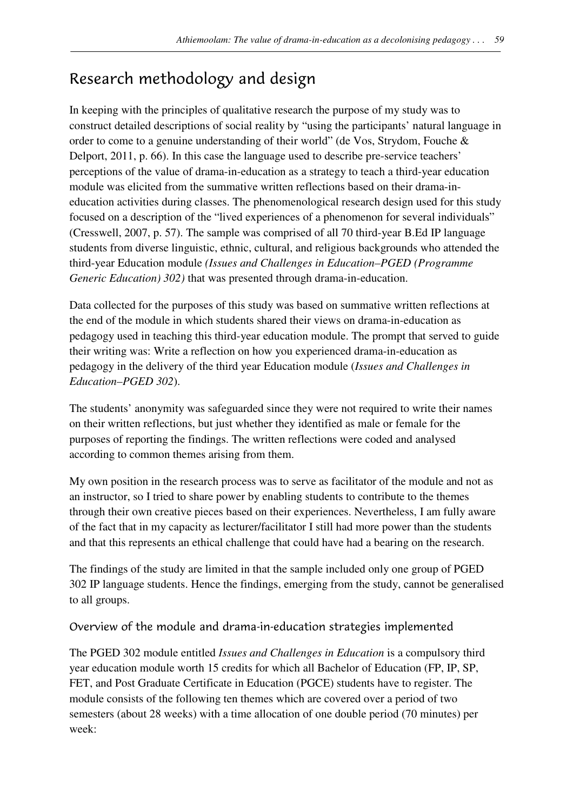# Research methodology and design

In keeping with the principles of qualitative research the purpose of my study was to construct detailed descriptions of social reality by "using the participants' natural language in order to come to a genuine understanding of their world" (de Vos, Strydom, Fouche & Delport, 2011, p. 66). In this case the language used to describe pre-service teachers' perceptions of the value of drama-in-education as a strategy to teach a third-year education module was elicited from the summative written reflections based on their drama-ineducation activities during classes. The phenomenological research design used for this study focused on a description of the "lived experiences of a phenomenon for several individuals" (Cresswell, 2007, p. 57). The sample was comprised of all 70 third-year B.Ed IP language students from diverse linguistic, ethnic, cultural, and religious backgrounds who attended the third-year Education module *(Issues and Challenges in Education–PGED (Programme Generic Education) 302)* that was presented through drama-in-education.

Data collected for the purposes of this study was based on summative written reflections at the end of the module in which students shared their views on drama-in-education as pedagogy used in teaching this third-year education module. The prompt that served to guide their writing was: Write a reflection on how you experienced drama-in-education as pedagogy in the delivery of the third year Education module (*Issues and Challenges in Education–PGED 302*).

The students' anonymity was safeguarded since they were not required to write their names on their written reflections, but just whether they identified as male or female for the purposes of reporting the findings. The written reflections were coded and analysed according to common themes arising from them.

My own position in the research process was to serve as facilitator of the module and not as an instructor, so I tried to share power by enabling students to contribute to the themes through their own creative pieces based on their experiences. Nevertheless, I am fully aware of the fact that in my capacity as lecturer/facilitator I still had more power than the students and that this represents an ethical challenge that could have had a bearing on the research.

The findings of the study are limited in that the sample included only one group of PGED 302 IP language students. Hence the findings, emerging from the study, cannot be generalised to all groups.

Overview of the module and drama-in-education strategies implemented

The PGED 302 module entitled *Issues and Challenges in Education* is a compulsory third year education module worth 15 credits for which all Bachelor of Education (FP, IP, SP, FET, and Post Graduate Certificate in Education (PGCE) students have to register. The module consists of the following ten themes which are covered over a period of two semesters (about 28 weeks) with a time allocation of one double period (70 minutes) per week: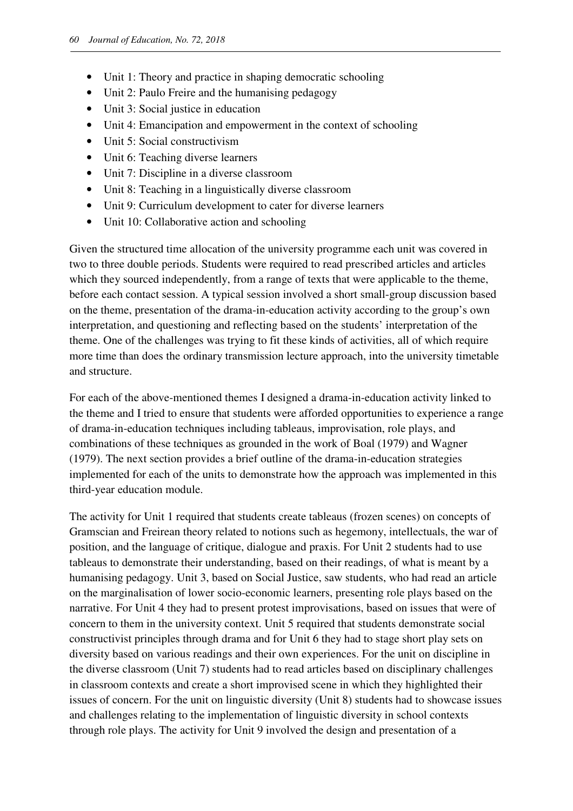- Unit 1: Theory and practice in shaping democratic schooling
- Unit 2: Paulo Freire and the humanising pedagogy
- Unit 3: Social justice in education
- Unit 4: Emancipation and empowerment in the context of schooling
- Unit 5: Social constructivism
- Unit 6: Teaching diverse learners
- Unit 7: Discipline in a diverse classroom
- Unit 8: Teaching in a linguistically diverse classroom
- Unit 9: Curriculum development to cater for diverse learners
- Unit 10: Collaborative action and schooling

Given the structured time allocation of the university programme each unit was covered in two to three double periods. Students were required to read prescribed articles and articles which they sourced independently, from a range of texts that were applicable to the theme, before each contact session. A typical session involved a short small-group discussion based on the theme, presentation of the drama-in-education activity according to the group's own interpretation, and questioning and reflecting based on the students' interpretation of the theme. One of the challenges was trying to fit these kinds of activities, all of which require more time than does the ordinary transmission lecture approach, into the university timetable and structure.

For each of the above-mentioned themes I designed a drama-in-education activity linked to the theme and I tried to ensure that students were afforded opportunities to experience a range of drama-in-education techniques including tableaus, improvisation, role plays, and combinations of these techniques as grounded in the work of Boal (1979) and Wagner (1979). The next section provides a brief outline of the drama-in-education strategies implemented for each of the units to demonstrate how the approach was implemented in this third-year education module.

The activity for Unit 1 required that students create tableaus (frozen scenes) on concepts of Gramscian and Freirean theory related to notions such as hegemony, intellectuals, the war of position, and the language of critique, dialogue and praxis. For Unit 2 students had to use tableaus to demonstrate their understanding, based on their readings, of what is meant by a humanising pedagogy. Unit 3, based on Social Justice, saw students, who had read an article on the marginalisation of lower socio-economic learners, presenting role plays based on the narrative. For Unit 4 they had to present protest improvisations, based on issues that were of concern to them in the university context. Unit 5 required that students demonstrate social constructivist principles through drama and for Unit 6 they had to stage short play sets on diversity based on various readings and their own experiences. For the unit on discipline in the diverse classroom (Unit 7) students had to read articles based on disciplinary challenges in classroom contexts and create a short improvised scene in which they highlighted their issues of concern. For the unit on linguistic diversity (Unit 8) students had to showcase issues and challenges relating to the implementation of linguistic diversity in school contexts through role plays. The activity for Unit 9 involved the design and presentation of a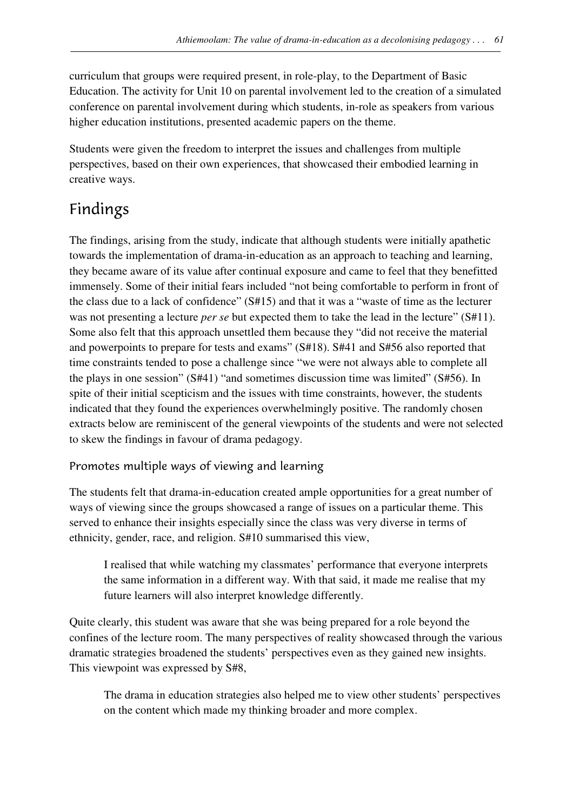curriculum that groups were required present, in role-play, to the Department of Basic Education. The activity for Unit 10 on parental involvement led to the creation of a simulated conference on parental involvement during which students, in-role as speakers from various higher education institutions, presented academic papers on the theme.

Students were given the freedom to interpret the issues and challenges from multiple perspectives, based on their own experiences, that showcased their embodied learning in creative ways.

# Findings

The findings, arising from the study, indicate that although students were initially apathetic towards the implementation of drama-in-education as an approach to teaching and learning, they became aware of its value after continual exposure and came to feel that they benefitted immensely. Some of their initial fears included "not being comfortable to perform in front of the class due to a lack of confidence" (S#15) and that it was a "waste of time as the lecturer was not presenting a lecture *per se* but expected them to take the lead in the lecture" (S#11). Some also felt that this approach unsettled them because they "did not receive the material and powerpoints to prepare for tests and exams" (S#18). S#41 and S#56 also reported that time constraints tended to pose a challenge since "we were not always able to complete all the plays in one session" (S#41) "and sometimes discussion time was limited" (S#56). In spite of their initial scepticism and the issues with time constraints, however, the students indicated that they found the experiences overwhelmingly positive. The randomly chosen extracts below are reminiscent of the general viewpoints of the students and were not selected to skew the findings in favour of drama pedagogy.

### Promotes multiple ways of viewing and learning

The students felt that drama-in-education created ample opportunities for a great number of ways of viewing since the groups showcased a range of issues on a particular theme. This served to enhance their insights especially since the class was very diverse in terms of ethnicity, gender, race, and religion. S#10 summarised this view,

I realised that while watching my classmates' performance that everyone interprets the same information in a different way. With that said, it made me realise that my future learners will also interpret knowledge differently.

Quite clearly, this student was aware that she was being prepared for a role beyond the confines of the lecture room. The many perspectives of reality showcased through the various dramatic strategies broadened the students' perspectives even as they gained new insights. This viewpoint was expressed by S#8,

The drama in education strategies also helped me to view other students' perspectives on the content which made my thinking broader and more complex.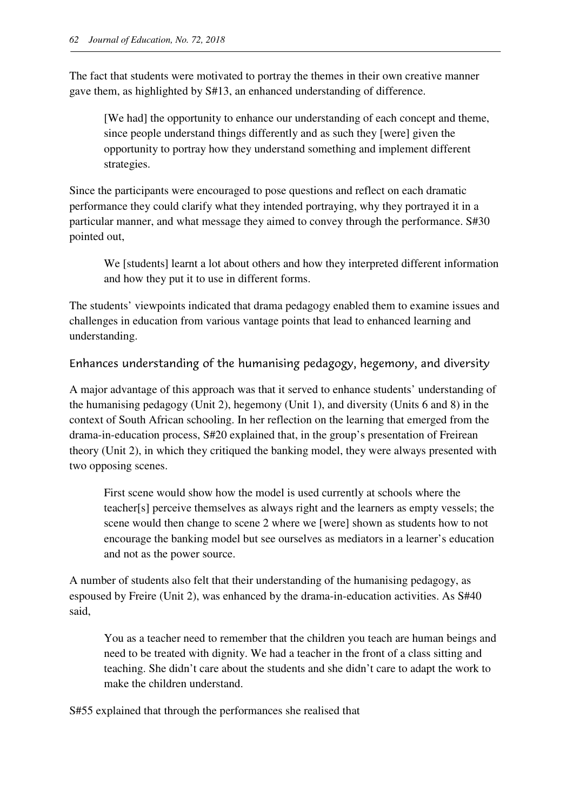The fact that students were motivated to portray the themes in their own creative manner gave them, as highlighted by S#13, an enhanced understanding of difference.

[We had] the opportunity to enhance our understanding of each concept and theme, since people understand things differently and as such they [were] given the opportunity to portray how they understand something and implement different strategies.

Since the participants were encouraged to pose questions and reflect on each dramatic performance they could clarify what they intended portraying, why they portrayed it in a particular manner, and what message they aimed to convey through the performance. S#30 pointed out,

We [students] learnt a lot about others and how they interpreted different information and how they put it to use in different forms.

The students' viewpoints indicated that drama pedagogy enabled them to examine issues and challenges in education from various vantage points that lead to enhanced learning and understanding.

Enhances understanding of the humanising pedagogy, hegemony, and diversity

A major advantage of this approach was that it served to enhance students' understanding of the humanising pedagogy (Unit 2), hegemony (Unit 1), and diversity (Units 6 and 8) in the context of South African schooling. In her reflection on the learning that emerged from the drama-in-education process, S#20 explained that, in the group's presentation of Freirean theory (Unit 2), in which they critiqued the banking model, they were always presented with two opposing scenes.

First scene would show how the model is used currently at schools where the teacher[s] perceive themselves as always right and the learners as empty vessels; the scene would then change to scene 2 where we [were] shown as students how to not encourage the banking model but see ourselves as mediators in a learner's education and not as the power source.

A number of students also felt that their understanding of the humanising pedagogy, as espoused by Freire (Unit 2), was enhanced by the drama-in-education activities. As S#40 said,

You as a teacher need to remember that the children you teach are human beings and need to be treated with dignity. We had a teacher in the front of a class sitting and teaching. She didn't care about the students and she didn't care to adapt the work to make the children understand.

S#55 explained that through the performances she realised that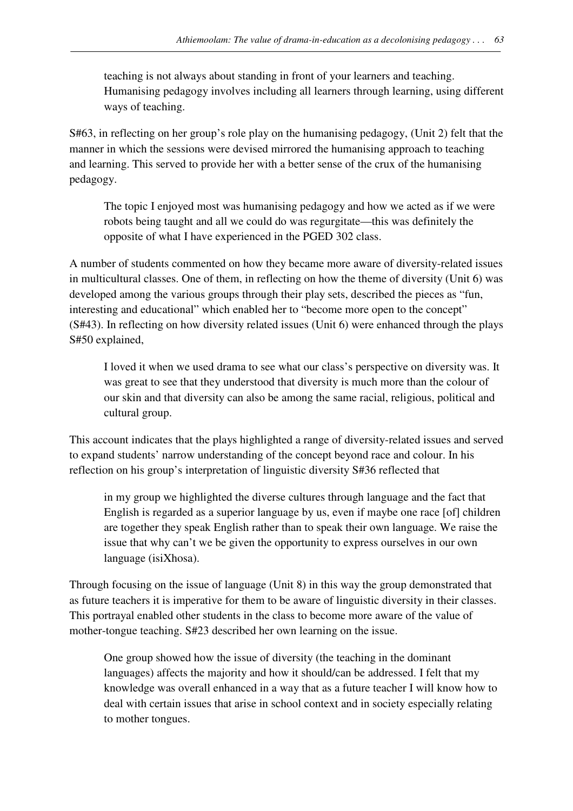teaching is not always about standing in front of your learners and teaching. Humanising pedagogy involves including all learners through learning, using different ways of teaching.

S#63, in reflecting on her group's role play on the humanising pedagogy, (Unit 2) felt that the manner in which the sessions were devised mirrored the humanising approach to teaching and learning. This served to provide her with a better sense of the crux of the humanising pedagogy.

The topic I enjoyed most was humanising pedagogy and how we acted as if we were robots being taught and all we could do was regurgitate—this was definitely the opposite of what I have experienced in the PGED 302 class.

A number of students commented on how they became more aware of diversity-related issues in multicultural classes. One of them, in reflecting on how the theme of diversity (Unit 6) was developed among the various groups through their play sets, described the pieces as "fun, interesting and educational" which enabled her to "become more open to the concept" (S#43). In reflecting on how diversity related issues (Unit 6) were enhanced through the plays S#50 explained,

I loved it when we used drama to see what our class's perspective on diversity was. It was great to see that they understood that diversity is much more than the colour of our skin and that diversity can also be among the same racial, religious, political and cultural group.

This account indicates that the plays highlighted a range of diversity-related issues and served to expand students' narrow understanding of the concept beyond race and colour. In his reflection on his group's interpretation of linguistic diversity S#36 reflected that

in my group we highlighted the diverse cultures through language and the fact that English is regarded as a superior language by us, even if maybe one race [of] children are together they speak English rather than to speak their own language. We raise the issue that why can't we be given the opportunity to express ourselves in our own language (isiXhosa).

Through focusing on the issue of language (Unit 8) in this way the group demonstrated that as future teachers it is imperative for them to be aware of linguistic diversity in their classes. This portrayal enabled other students in the class to become more aware of the value of mother-tongue teaching. S#23 described her own learning on the issue.

One group showed how the issue of diversity (the teaching in the dominant languages) affects the majority and how it should/can be addressed. I felt that my knowledge was overall enhanced in a way that as a future teacher I will know how to deal with certain issues that arise in school context and in society especially relating to mother tongues.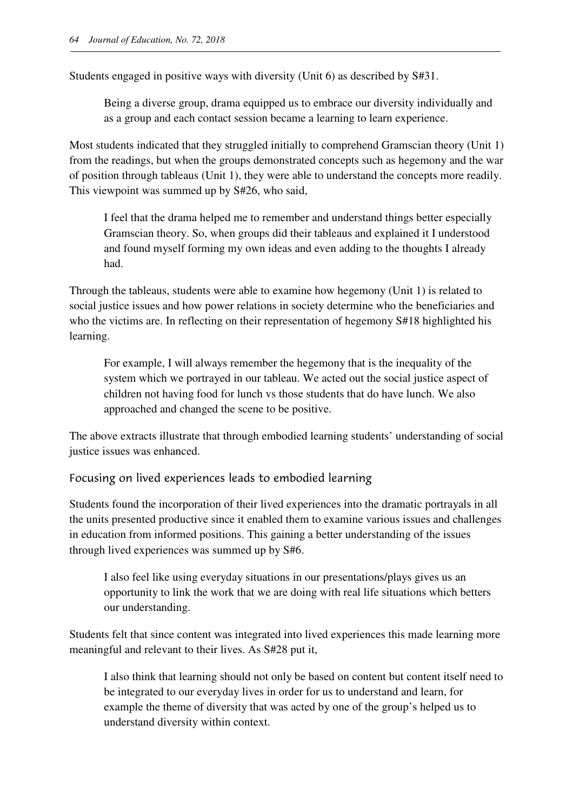Students engaged in positive ways with diversity (Unit 6) as described by S#31.

Being a diverse group, drama equipped us to embrace our diversity individually and as a group and each contact session became a learning to learn experience.

Most students indicated that they struggled initially to comprehend Gramscian theory (Unit 1) from the readings, but when the groups demonstrated concepts such as hegemony and the war of position through tableaus (Unit 1), they were able to understand the concepts more readily. This viewpoint was summed up by S#26, who said,

I feel that the drama helped me to remember and understand things better especially Gramscian theory. So, when groups did their tableaus and explained it I understood and found myself forming my own ideas and even adding to the thoughts I already had.

Through the tableaus, students were able to examine how hegemony (Unit 1) is related to social justice issues and how power relations in society determine who the beneficiaries and who the victims are. In reflecting on their representation of hegemony S#18 highlighted his learning.

For example, I will always remember the hegemony that is the inequality of the system which we portrayed in our tableau. We acted out the social justice aspect of children not having food for lunch vs those students that do have lunch. We also approached and changed the scene to be positive.

The above extracts illustrate that through embodied learning students' understanding of social justice issues was enhanced.

#### Focusing on lived experiences leads to embodied learning

Students found the incorporation of their lived experiences into the dramatic portrayals in all the units presented productive since it enabled them to examine various issues and challenges in education from informed positions. This gaining a better understanding of the issues through lived experiences was summed up by S#6.

I also feel like using everyday situations in our presentations/plays gives us an opportunity to link the work that we are doing with real life situations which betters our understanding.

Students felt that since content was integrated into lived experiences this made learning more meaningful and relevant to their lives. As S#28 put it,

I also think that learning should not only be based on content but content itself need to be integrated to our everyday lives in order for us to understand and learn, for example the theme of diversity that was acted by one of the group's helped us to understand diversity within context.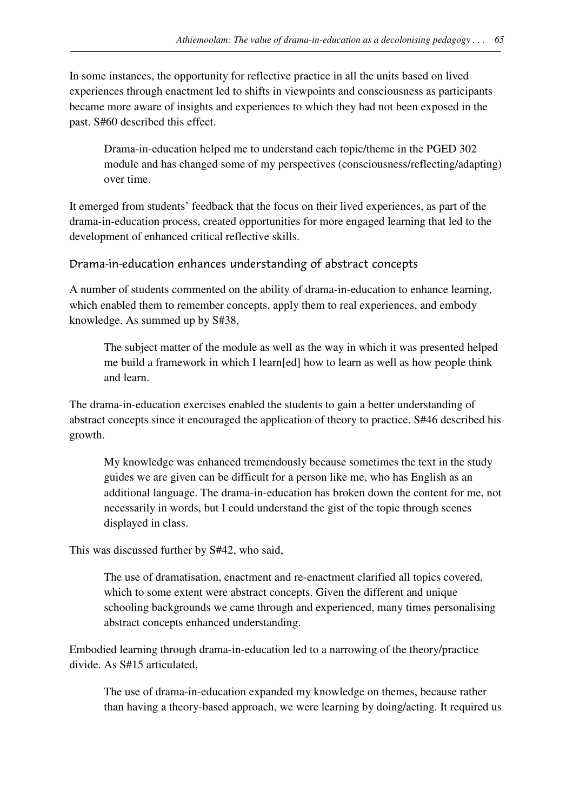In some instances, the opportunity for reflective practice in all the units based on lived experiences through enactment led to shifts in viewpoints and consciousness as participants became more aware of insights and experiences to which they had not been exposed in the past. S#60 described this effect.

Drama-in-education helped me to understand each topic/theme in the PGED 302 module and has changed some of my perspectives (consciousness/reflecting/adapting) over time.

It emerged from students' feedback that the focus on their lived experiences, as part of the drama-in-education process, created opportunities for more engaged learning that led to the development of enhanced critical reflective skills.

#### Drama-in-education enhances understanding of abstract concepts

A number of students commented on the ability of drama-in-education to enhance learning, which enabled them to remember concepts, apply them to real experiences, and embody knowledge. As summed up by S#38,

The subject matter of the module as well as the way in which it was presented helped me build a framework in which I learn[ed] how to learn as well as how people think and learn.

The drama-in-education exercises enabled the students to gain a better understanding of abstract concepts since it encouraged the application of theory to practice. S#46 described his growth.

My knowledge was enhanced tremendously because sometimes the text in the study guides we are given can be difficult for a person like me, who has English as an additional language. The drama-in-education has broken down the content for me, not necessarily in words, but I could understand the gist of the topic through scenes displayed in class.

This was discussed further by S#42, who said,

The use of dramatisation, enactment and re-enactment clarified all topics covered, which to some extent were abstract concepts. Given the different and unique schooling backgrounds we came through and experienced, many times personalising abstract concepts enhanced understanding.

Embodied learning through drama-in-education led to a narrowing of the theory/practice divide. As S#15 articulated,

The use of drama-in-education expanded my knowledge on themes, because rather than having a theory-based approach, we were learning by doing/acting. It required us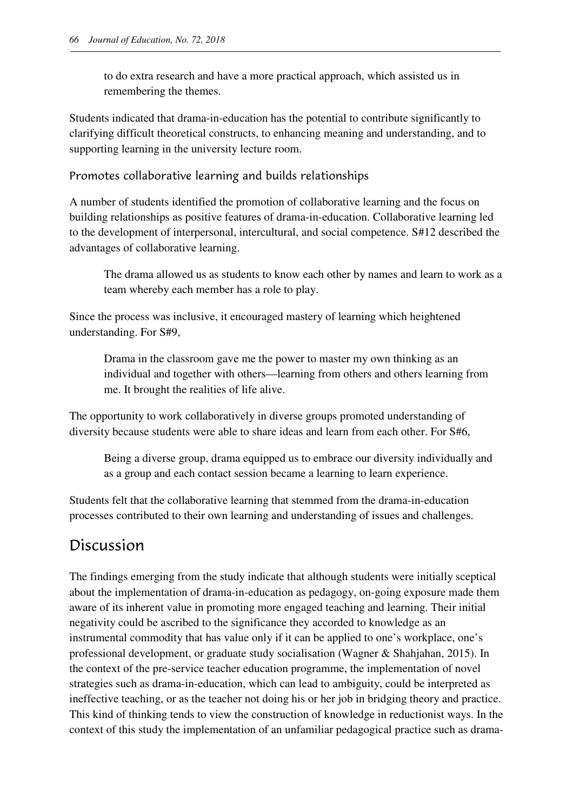to do extra research and have a more practical approach, which assisted us in remembering the themes.

Students indicated that drama-in-education has the potential to contribute significantly to clarifying difficult theoretical constructs, to enhancing meaning and understanding, and to supporting learning in the university lecture room.

Promotes collaborative learning and builds relationships

A number of students identified the promotion of collaborative learning and the focus on building relationships as positive features of drama-in-education. Collaborative learning led to the development of interpersonal, intercultural, and social competence. S#12 described the advantages of collaborative learning.

The drama allowed us as students to know each other by names and learn to work as a team whereby each member has a role to play.

Since the process was inclusive, it encouraged mastery of learning which heightened understanding. For S#9,

Drama in the classroom gave me the power to master my own thinking as an individual and together with others—learning from others and others learning from me. It brought the realities of life alive.

The opportunity to work collaboratively in diverse groups promoted understanding of diversity because students were able to share ideas and learn from each other. For S#6,

Being a diverse group, drama equipped us to embrace our diversity individually and as a group and each contact session became a learning to learn experience.

Students felt that the collaborative learning that stemmed from the drama-in-education processes contributed to their own learning and understanding of issues and challenges.

## Discussion

The findings emerging from the study indicate that although students were initially sceptical about the implementation of drama-in-education as pedagogy, on-going exposure made them aware of its inherent value in promoting more engaged teaching and learning. Their initial negativity could be ascribed to the significance they accorded to knowledge as an instrumental commodity that has value only if it can be applied to one's workplace, one's professional development, or graduate study socialisation (Wagner & Shahjahan, 2015). In the context of the pre-service teacher education programme, the implementation of novel strategies such as drama-in-education, which can lead to ambiguity, could be interpreted as ineffective teaching, or as the teacher not doing his or her job in bridging theory and practice. This kind of thinking tends to view the construction of knowledge in reductionist ways. In the context of this study the implementation of an unfamiliar pedagogical practice such as drama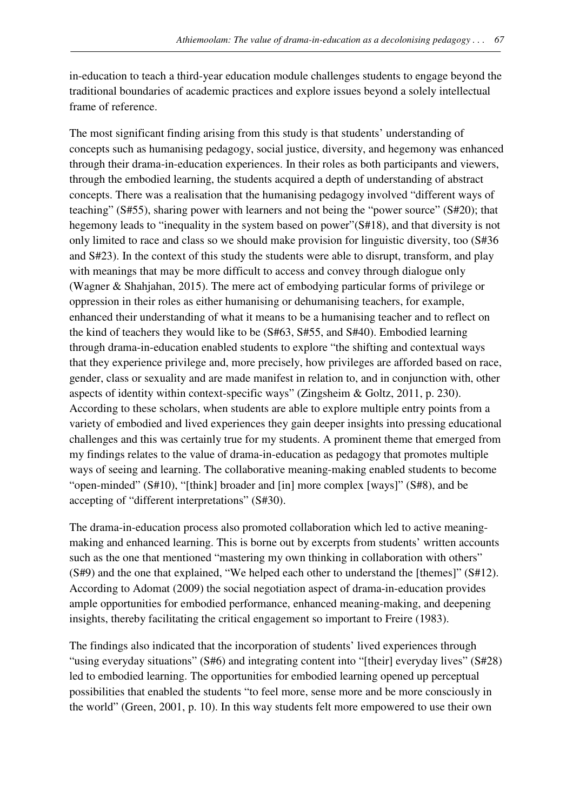in-education to teach a third-year education module challenges students to engage beyond the traditional boundaries of academic practices and explore issues beyond a solely intellectual frame of reference.

The most significant finding arising from this study is that students' understanding of concepts such as humanising pedagogy, social justice, diversity, and hegemony was enhanced through their drama-in-education experiences. In their roles as both participants and viewers, through the embodied learning, the students acquired a depth of understanding of abstract concepts. There was a realisation that the humanising pedagogy involved "different ways of teaching" (S#55), sharing power with learners and not being the "power source" (S#20); that hegemony leads to "inequality in the system based on power"(S#18), and that diversity is not only limited to race and class so we should make provision for linguistic diversity, too (S#36 and S#23). In the context of this study the students were able to disrupt, transform, and play with meanings that may be more difficult to access and convey through dialogue only (Wagner & Shahjahan, 2015). The mere act of embodying particular forms of privilege or oppression in their roles as either humanising or dehumanising teachers, for example, enhanced their understanding of what it means to be a humanising teacher and to reflect on the kind of teachers they would like to be (S#63, S#55, and S#40). Embodied learning through drama-in-education enabled students to explore "the shifting and contextual ways that they experience privilege and, more precisely, how privileges are afforded based on race, gender, class or sexuality and are made manifest in relation to, and in conjunction with, other aspects of identity within context-specific ways" (Zingsheim & Goltz, 2011, p. 230). According to these scholars, when students are able to explore multiple entry points from a variety of embodied and lived experiences they gain deeper insights into pressing educational challenges and this was certainly true for my students. A prominent theme that emerged from my findings relates to the value of drama-in-education as pedagogy that promotes multiple ways of seeing and learning. The collaborative meaning-making enabled students to become "open-minded" (S#10), "[think] broader and [in] more complex [ways]" (S#8), and be accepting of "different interpretations" (S#30).

The drama-in-education process also promoted collaboration which led to active meaningmaking and enhanced learning. This is borne out by excerpts from students' written accounts such as the one that mentioned "mastering my own thinking in collaboration with others" (S#9) and the one that explained, "We helped each other to understand the [themes]" (S#12). According to Adomat (2009) the social negotiation aspect of drama-in-education provides ample opportunities for embodied performance, enhanced meaning-making, and deepening insights, thereby facilitating the critical engagement so important to Freire (1983).

The findings also indicated that the incorporation of students' lived experiences through "using everyday situations" (S#6) and integrating content into "[their] everyday lives" (S#28) led to embodied learning. The opportunities for embodied learning opened up perceptual possibilities that enabled the students "to feel more, sense more and be more consciously in the world" (Green, 2001, p. 10). In this way students felt more empowered to use their own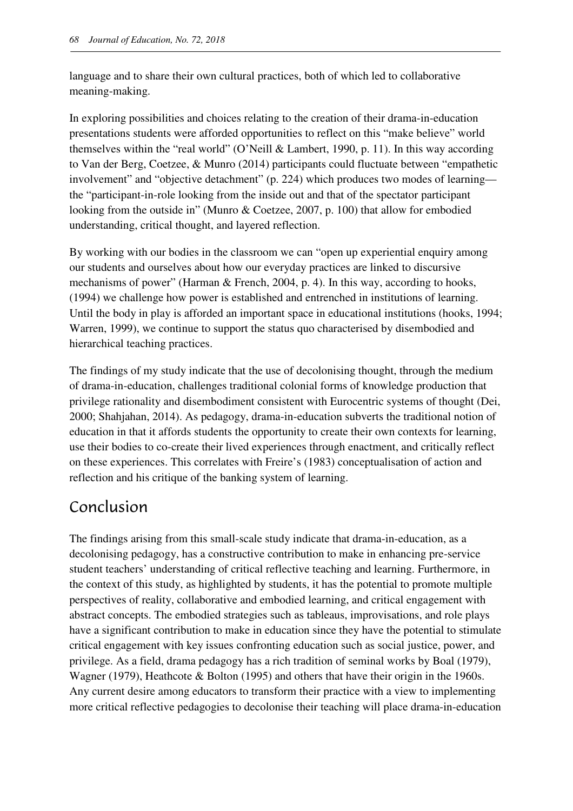language and to share their own cultural practices, both of which led to collaborative meaning-making.

In exploring possibilities and choices relating to the creation of their drama-in-education presentations students were afforded opportunities to reflect on this "make believe" world themselves within the "real world" (O'Neill & Lambert, 1990, p. 11). In this way according to Van der Berg, Coetzee, & Munro (2014) participants could fluctuate between "empathetic involvement" and "objective detachment" (p. 224) which produces two modes of learning the "participant-in-role looking from the inside out and that of the spectator participant looking from the outside in" (Munro & Coetzee, 2007, p. 100) that allow for embodied understanding, critical thought, and layered reflection.

By working with our bodies in the classroom we can "open up experiential enquiry among our students and ourselves about how our everyday practices are linked to discursive mechanisms of power" (Harman & French, 2004, p. 4). In this way, according to hooks, (1994) we challenge how power is established and entrenched in institutions of learning. Until the body in play is afforded an important space in educational institutions (hooks, 1994; Warren, 1999), we continue to support the status quo characterised by disembodied and hierarchical teaching practices.

The findings of my study indicate that the use of decolonising thought, through the medium of drama-in-education, challenges traditional colonial forms of knowledge production that privilege rationality and disembodiment consistent with Eurocentric systems of thought (Dei, 2000; Shahjahan, 2014). As pedagogy, drama-in-education subverts the traditional notion of education in that it affords students the opportunity to create their own contexts for learning, use their bodies to co-create their lived experiences through enactment, and critically reflect on these experiences. This correlates with Freire's (1983) conceptualisation of action and reflection and his critique of the banking system of learning.

## Conclusion

The findings arising from this small-scale study indicate that drama-in-education, as a decolonising pedagogy, has a constructive contribution to make in enhancing pre-service student teachers' understanding of critical reflective teaching and learning. Furthermore, in the context of this study, as highlighted by students, it has the potential to promote multiple perspectives of reality, collaborative and embodied learning, and critical engagement with abstract concepts. The embodied strategies such as tableaus, improvisations, and role plays have a significant contribution to make in education since they have the potential to stimulate critical engagement with key issues confronting education such as social justice, power, and privilege. As a field, drama pedagogy has a rich tradition of seminal works by Boal (1979), Wagner (1979), Heathcote & Bolton (1995) and others that have their origin in the 1960s. Any current desire among educators to transform their practice with a view to implementing more critical reflective pedagogies to decolonise their teaching will place drama-in-education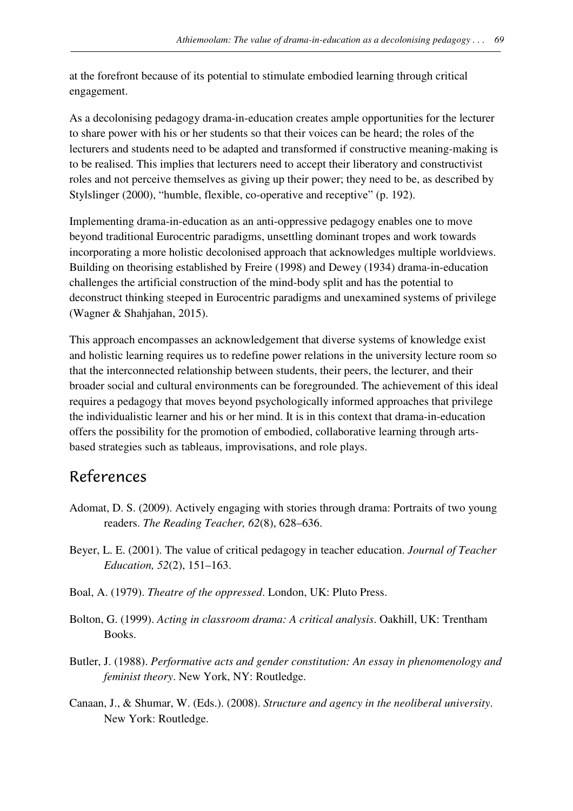at the forefront because of its potential to stimulate embodied learning through critical engagement.

As a decolonising pedagogy drama-in-education creates ample opportunities for the lecturer to share power with his or her students so that their voices can be heard; the roles of the lecturers and students need to be adapted and transformed if constructive meaning-making is to be realised. This implies that lecturers need to accept their liberatory and constructivist roles and not perceive themselves as giving up their power; they need to be, as described by Stylslinger (2000), "humble, flexible, co-operative and receptive" (p. 192).

Implementing drama-in-education as an anti-oppressive pedagogy enables one to move beyond traditional Eurocentric paradigms, unsettling dominant tropes and work towards incorporating a more holistic decolonised approach that acknowledges multiple worldviews. Building on theorising established by Freire (1998) and Dewey (1934) drama-in-education challenges the artificial construction of the mind-body split and has the potential to deconstruct thinking steeped in Eurocentric paradigms and unexamined systems of privilege (Wagner & Shahjahan, 2015).

This approach encompasses an acknowledgement that diverse systems of knowledge exist and holistic learning requires us to redefine power relations in the university lecture room so that the interconnected relationship between students, their peers, the lecturer, and their broader social and cultural environments can be foregrounded. The achievement of this ideal requires a pedagogy that moves beyond psychologically informed approaches that privilege the individualistic learner and his or her mind. It is in this context that drama-in-education offers the possibility for the promotion of embodied, collaborative learning through artsbased strategies such as tableaus, improvisations, and role plays.

### References

- Adomat, D. S. (2009). Actively engaging with stories through drama: Portraits of two young readers. *The Reading Teacher, 62*(8), 628–636.
- Beyer, L. E. (2001). The value of critical pedagogy in teacher education. *Journal of Teacher Education, 52*(2), 151–163.
- Boal, A. (1979). *Theatre of the oppressed*. London, UK: Pluto Press.
- Bolton, G. (1999). *Acting in classroom drama: A critical analysis*. Oakhill, UK: Trentham Books.
- Butler, J. (1988). *Performative acts and gender constitution: An essay in phenomenology and feminist theory*. New York, NY: Routledge.
- Canaan, J., & Shumar, W. (Eds.). (2008). *Structure and agency in the neoliberal university*. New York: Routledge.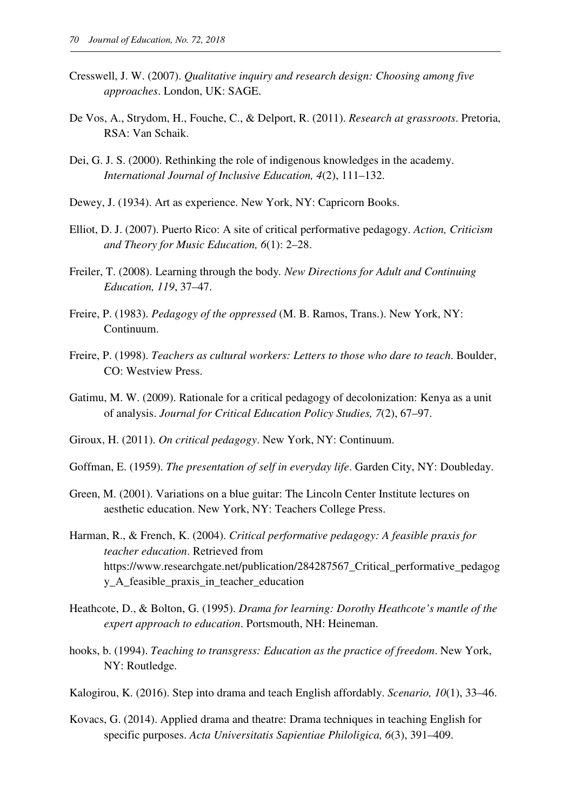- Cresswell, J. W. (2007). *Qualitative inquiry and research design: Choosing among five approaches*. London, UK: SAGE.
- De Vos, A., Strydom, H., Fouche, C., & Delport, R. (2011). *Research at grassroots*. Pretoria, RSA: Van Schaik.
- Dei, G. J. S. (2000). Rethinking the role of indigenous knowledges in the academy. *International Journal of Inclusive Education, 4*(2), 111–132.
- Dewey, J. (1934). Art as experience. New York, NY: Capricorn Books.
- Elliot, D. J. (2007). Puerto Rico: A site of critical performative pedagogy. *Action, Criticism and Theory for Music Education, 6*(1): 2–28.
- Freiler, T. (2008). Learning through the body*. New Directions for Adult and Continuing Education, 119*, 37–47.
- Freire, P. (1983). *Pedagogy of the oppressed* (M. B. Ramos, Trans.). New York, NY: Continuum.
- Freire, P. (1998). *Teachers as cultural workers: Letters to those who dare to teach*. Boulder, CO: Westview Press.
- Gatimu, M. W. (2009). Rationale for a critical pedagogy of decolonization: Kenya as a unit of analysis. *Journal for Critical Education Policy Studies, 7*(2), 67–97.
- Giroux, H. (2011). *On critical pedagogy*. New York, NY: Continuum.
- Goffman, E. (1959). *The presentation of self in everyday life*. Garden City, NY: Doubleday.
- Green, M. (2001). Variations on a blue guitar: The Lincoln Center Institute lectures on aesthetic education. New York, NY: Teachers College Press.
- Harman, R., & French, K. (2004). *Critical performative pedagogy: A feasible praxis for teacher education*. Retrieved from https://www.researchgate.net/publication/284287567 Critical performative pedagog y\_A\_feasible\_praxis\_in\_teacher\_education
- Heathcote, D., & Bolton, G. (1995). *Drama for learning: Dorothy Heathcote's mantle of the expert approach to education*. Portsmouth, NH: Heineman.
- hooks, b. (1994). *Teaching to transgress: Education as the practice of freedom*. New York, NY: Routledge.
- Kalogirou, K. (2016). Step into drama and teach English affordably. *Scenario, 10*(1), 33–46.
- Kovacs, G. (2014). Applied drama and theatre: Drama techniques in teaching English for specific purposes. *Acta Universitatis Sapientiae Philoligica, 6*(3), 391–409.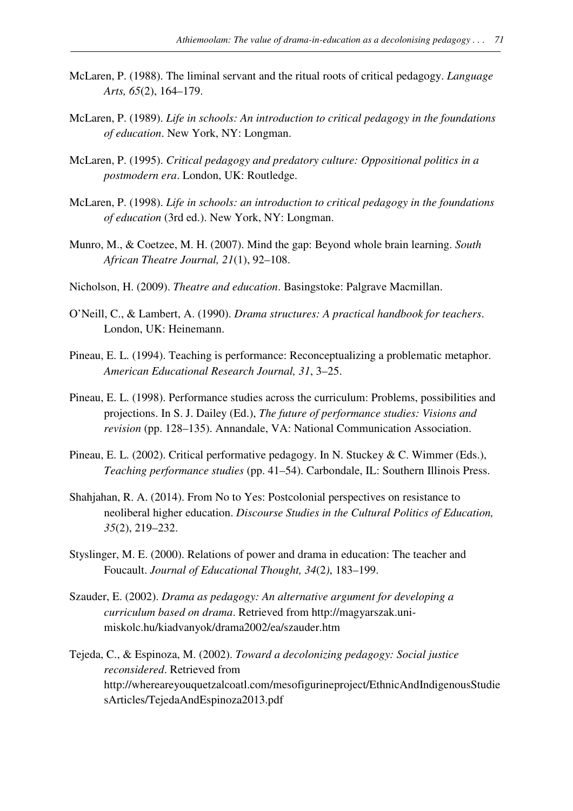- McLaren, P. (1988). The liminal servant and the ritual roots of critical pedagogy. *Language Arts, 65*(2), 164–179.
- McLaren, P. (1989). *Life in schools: An introduction to critical pedagogy in the foundations of education*. New York, NY: Longman.
- McLaren, P. (1995). *Critical pedagogy and predatory culture: Oppositional politics in a postmodern era*. London, UK: Routledge.
- McLaren, P. (1998). *Life in schools: an introduction to critical pedagogy in the foundations of education* (3rd ed.). New York, NY: Longman.
- Munro, M., & Coetzee, M. H. (2007). Mind the gap: Beyond whole brain learning. *South African Theatre Journal, 21*(1), 92–108.
- Nicholson, H. (2009). *Theatre and education*. Basingstoke: Palgrave Macmillan.
- O'Neill, C., & Lambert, A. (1990). *Drama structures: A practical handbook for teachers*. London, UK: Heinemann.
- Pineau, E. L. (1994). Teaching is performance: Reconceptualizing a problematic metaphor. *American Educational Research Journal, 31*, 3–25.
- Pineau, E. L. (1998). Performance studies across the curriculum: Problems, possibilities and projections. In S. J. Dailey (Ed.), *The future of performance studies: Visions and revision* (pp. 128–135). Annandale, VA: National Communication Association.
- Pineau, E. L. (2002). Critical performative pedagogy. In N. Stuckey & C. Wimmer (Eds.), *Teaching performance studies* (pp. 41–54). Carbondale, IL: Southern Illinois Press.
- Shahjahan, R. A. (2014). From No to Yes: Postcolonial perspectives on resistance to neoliberal higher education. *Discourse Studies in the Cultural Politics of Education, 35*(2), 219–232.
- Styslinger, M. E. (2000). Relations of power and drama in education: The teacher and Foucault. *Journal of Educational Thought, 34*(2*)*, 183–199.
- Szauder, E. (2002). *Drama as pedagogy: An alternative argument for developing a curriculum based on drama*. Retrieved from http://magyarszak.unimiskolc.hu/kiadvanyok/drama2002/ea/szauder.htm
- Tejeda, C., & Espinoza, M. (2002). *Toward a decolonizing pedagogy: Social justice reconsidered*. Retrieved from http://whereareyouquetzalcoatl.com/mesofigurineproject/EthnicAndIndigenousStudie sArticles/TejedaAndEspinoza2013.pdf